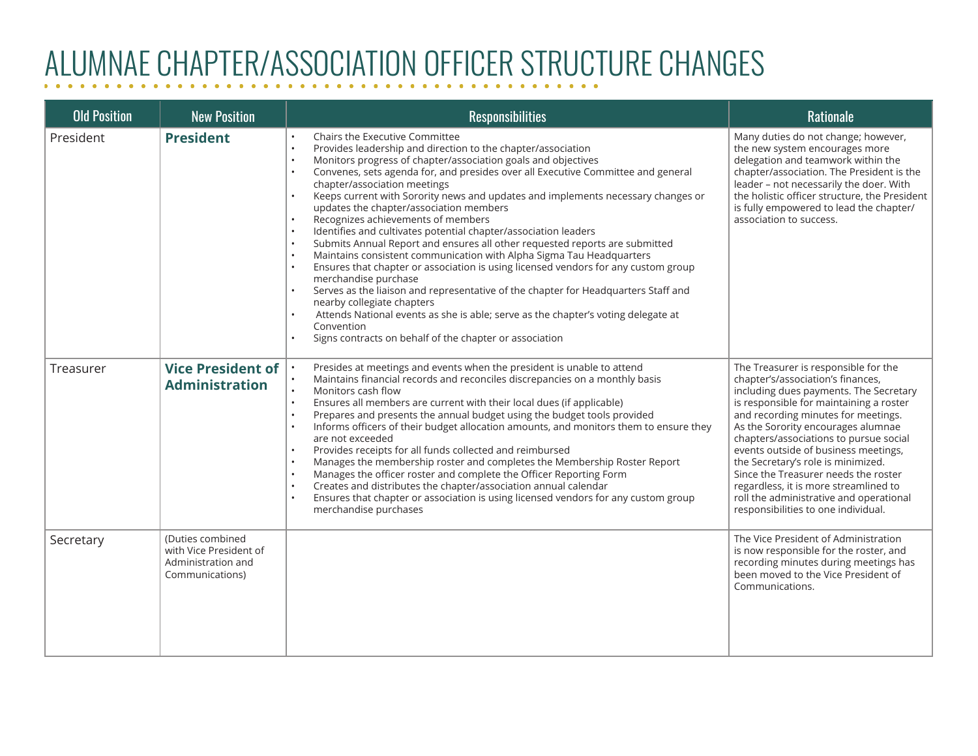## ALUMNAE CHAPTER/ASSOCIATION OFFICER STRUCTURE CHANGES

| <b>Old Position</b> | <b>New Position</b>                                                                 | <b>Responsibilities</b>                                                                                                                                                                                                                                                                                                                                                                                                                                                                                                                                                                                                                                                                                                                                                                                                                                                                                                                                                                                                                                                            | <b>Rationale</b>                                                                                                                                                                                                                                                                                                                                                                                                                                                                                                                       |
|---------------------|-------------------------------------------------------------------------------------|------------------------------------------------------------------------------------------------------------------------------------------------------------------------------------------------------------------------------------------------------------------------------------------------------------------------------------------------------------------------------------------------------------------------------------------------------------------------------------------------------------------------------------------------------------------------------------------------------------------------------------------------------------------------------------------------------------------------------------------------------------------------------------------------------------------------------------------------------------------------------------------------------------------------------------------------------------------------------------------------------------------------------------------------------------------------------------|----------------------------------------------------------------------------------------------------------------------------------------------------------------------------------------------------------------------------------------------------------------------------------------------------------------------------------------------------------------------------------------------------------------------------------------------------------------------------------------------------------------------------------------|
| President           | <b>President</b>                                                                    | Chairs the Executive Committee<br>Provides leadership and direction to the chapter/association<br>Monitors progress of chapter/association goals and objectives<br>Convenes, sets agenda for, and presides over all Executive Committee and general<br>chapter/association meetings<br>Keeps current with Sorority news and updates and implements necessary changes or<br>updates the chapter/association members<br>Recognizes achievements of members<br>Identifies and cultivates potential chapter/association leaders<br>Submits Annual Report and ensures all other requested reports are submitted<br>Maintains consistent communication with Alpha Sigma Tau Headquarters<br>Ensures that chapter or association is using licensed vendors for any custom group<br>merchandise purchase<br>Serves as the liaison and representative of the chapter for Headquarters Staff and<br>nearby collegiate chapters<br>Attends National events as she is able; serve as the chapter's voting delegate at<br>Convention<br>Signs contracts on behalf of the chapter or association | Many duties do not change; however,<br>the new system encourages more<br>delegation and teamwork within the<br>chapter/association. The President is the<br>leader - not necessarily the doer. With<br>the holistic officer structure, the President<br>is fully empowered to lead the chapter/<br>association to success.                                                                                                                                                                                                             |
| Treasurer           | <b>Vice President of</b><br><b>Administration</b>                                   | Presides at meetings and events when the president is unable to attend<br>Maintains financial records and reconciles discrepancies on a monthly basis<br>Monitors cash flow<br>Ensures all members are current with their local dues (if applicable)<br>$\bullet$<br>Prepares and presents the annual budget using the budget tools provided<br>Informs officers of their budget allocation amounts, and monitors them to ensure they<br>are not exceeded<br>Provides receipts for all funds collected and reimbursed<br>Manages the membership roster and completes the Membership Roster Report<br>Manages the officer roster and complete the Officer Reporting Form<br>Creates and distributes the chapter/association annual calendar<br>Ensures that chapter or association is using licensed vendors for any custom group<br>merchandise purchases                                                                                                                                                                                                                          | The Treasurer is responsible for the<br>chapter's/association's finances,<br>including dues payments. The Secretary<br>is responsible for maintaining a roster<br>and recording minutes for meetings.<br>As the Sorority encourages alumnae<br>chapters/associations to pursue social<br>events outside of business meetings,<br>the Secretary's role is minimized.<br>Since the Treasurer needs the roster<br>regardless, it is more streamlined to<br>roll the administrative and operational<br>responsibilities to one individual. |
| Secretary           | (Duties combined<br>with Vice President of<br>Administration and<br>Communications) |                                                                                                                                                                                                                                                                                                                                                                                                                                                                                                                                                                                                                                                                                                                                                                                                                                                                                                                                                                                                                                                                                    | The Vice President of Administration<br>is now responsible for the roster, and<br>recording minutes during meetings has<br>been moved to the Vice President of<br>Communications.                                                                                                                                                                                                                                                                                                                                                      |